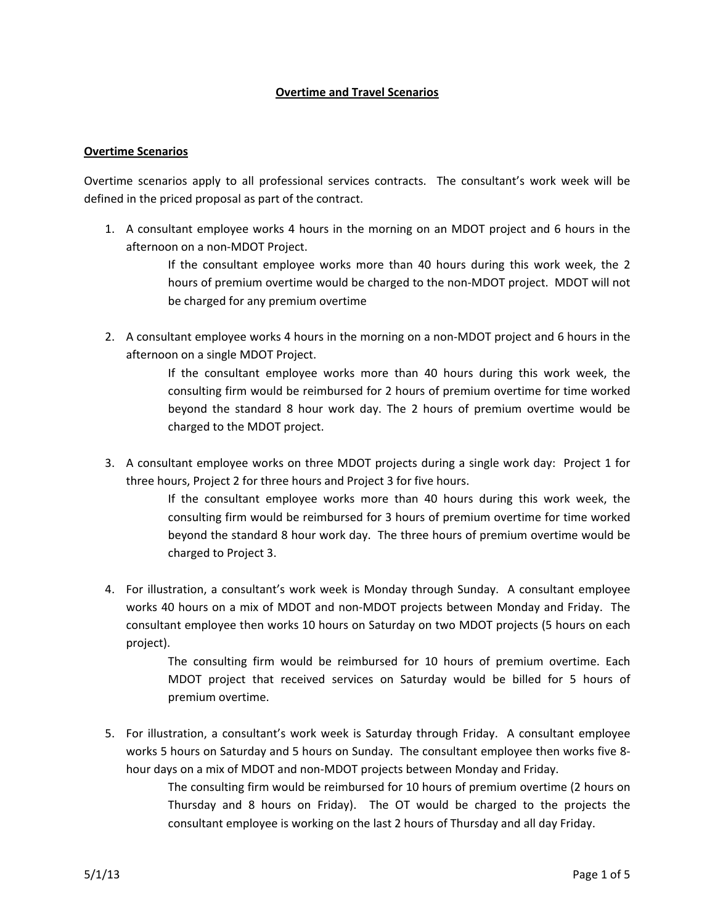## **Overtime and Travel Scenarios**

## **Overtime Scenarios**

Overtime scenarios apply to all professional services contracts. The consultant's work week will be defined in the priced proposal as part of the contract.

1. A consultant employee works 4 hours in the morning on an MDOT project and 6 hours in the afternoon on a non‐MDOT Project.

> If the consultant employee works more than 40 hours during this work week, the 2 hours of premium overtime would be charged to the non‐MDOT project. MDOT will not be charged for any premium overtime

2. A consultant employee works 4 hours in the morning on a non-MDOT project and 6 hours in the afternoon on a single MDOT Project.

> If the consultant employee works more than 40 hours during this work week, the consulting firm would be reimbursed for 2 hours of premium overtime for time worked beyond the standard 8 hour work day. The 2 hours of premium overtime would be charged to the MDOT project.

3. A consultant employee works on three MDOT projects during a single work day: Project 1 for three hours, Project 2 for three hours and Project 3 for five hours.

> If the consultant employee works more than 40 hours during this work week, the consulting firm would be reimbursed for 3 hours of premium overtime for time worked beyond the standard 8 hour work day. The three hours of premium overtime would be charged to Project 3.

4. For illustration, a consultant's work week is Monday through Sunday. A consultant employee works 40 hours on a mix of MDOT and non‐MDOT projects between Monday and Friday. The consultant employee then works 10 hours on Saturday on two MDOT projects (5 hours on each project).

> The consulting firm would be reimbursed for 10 hours of premium overtime. Each MDOT project that received services on Saturday would be billed for 5 hours of premium overtime.

5. For illustration, a consultant's work week is Saturday through Friday. A consultant employee works 5 hours on Saturday and 5 hours on Sunday. The consultant employee then works five 8‐ hour days on a mix of MDOT and non‐MDOT projects between Monday and Friday.

> The consulting firm would be reimbursed for 10 hours of premium overtime (2 hours on Thursday and 8 hours on Friday). The OT would be charged to the projects the consultant employee is working on the last 2 hours of Thursday and all day Friday.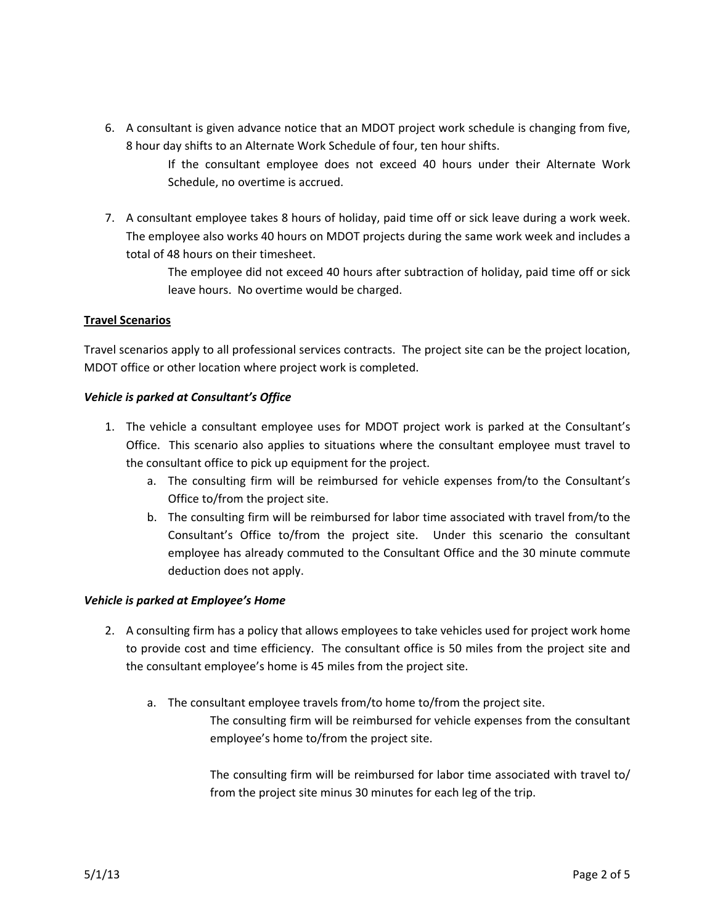6. A consultant is given advance notice that an MDOT project work schedule is changing from five, 8 hour day shifts to an Alternate Work Schedule of four, ten hour shifts.

> If the consultant employee does not exceed 40 hours under their Alternate Work Schedule, no overtime is accrued.

7. A consultant employee takes 8 hours of holiday, paid time off or sick leave during a work week. The employee also works 40 hours on MDOT projects during the same work week and includes a total of 48 hours on their timesheet.

> The employee did not exceed 40 hours after subtraction of holiday, paid time off or sick leave hours. No overtime would be charged.

## **Travel Scenarios**

Travel scenarios apply to all professional services contracts. The project site can be the project location, MDOT office or other location where project work is completed.

## *Vehicle is parked at Consultant's Office*

- 1. The vehicle a consultant employee uses for MDOT project work is parked at the Consultant's Office. This scenario also applies to situations where the consultant employee must travel to the consultant office to pick up equipment for the project.
	- a. The consulting firm will be reimbursed for vehicle expenses from/to the Consultant's Office to/from the project site.
	- b. The consulting firm will be reimbursed for labor time associated with travel from/to the Consultant's Office to/from the project site. Under this scenario the consultant employee has already commuted to the Consultant Office and the 30 minute commute deduction does not apply.

# *Vehicle is parked at Employee's Home*

- 2. A consulting firm has a policy that allows employees to take vehicles used for project work home to provide cost and time efficiency. The consultant office is 50 miles from the project site and the consultant employee's home is 45 miles from the project site.
	- a. The consultant employee travels from/to home to/from the project site.

The consulting firm will be reimbursed for vehicle expenses from the consultant employee's home to/from the project site.

The consulting firm will be reimbursed for labor time associated with travel to/ from the project site minus 30 minutes for each leg of the trip.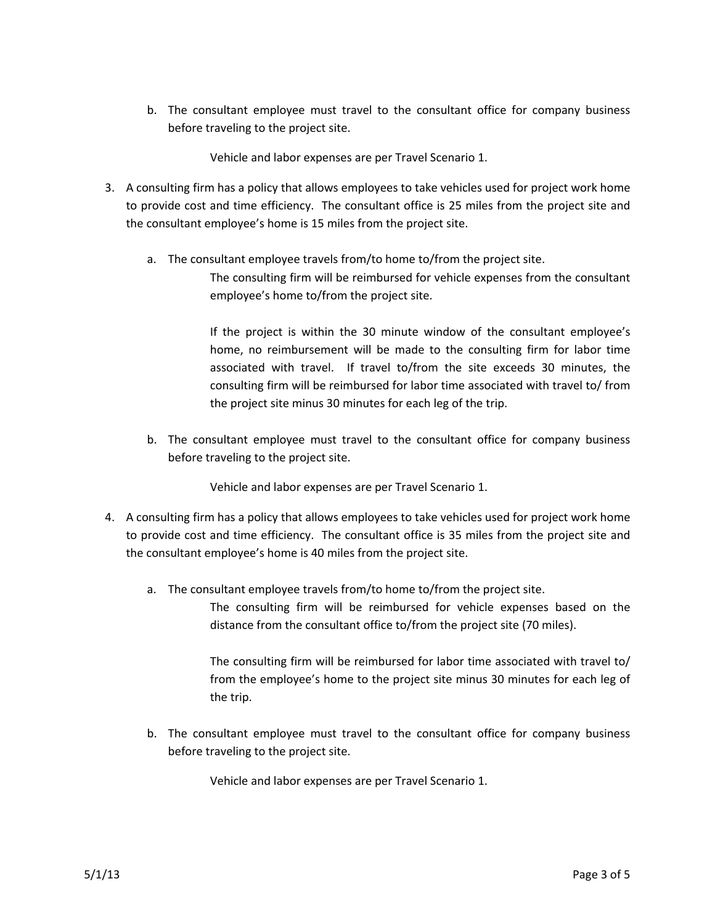b. The consultant employee must travel to the consultant office for company business before traveling to the project site.

Vehicle and labor expenses are per Travel Scenario 1.

- 3. A consulting firm has a policy that allows employees to take vehicles used for project work home to provide cost and time efficiency. The consultant office is 25 miles from the project site and the consultant employee's home is 15 miles from the project site.
	- a. The consultant employee travels from/to home to/from the project site. The consulting firm will be reimbursed for vehicle expenses from the consultant employee's home to/from the project site.

If the project is within the 30 minute window of the consultant employee's home, no reimbursement will be made to the consulting firm for labor time associated with travel. If travel to/from the site exceeds 30 minutes, the consulting firm will be reimbursed for labor time associated with travel to/ from the project site minus 30 minutes for each leg of the trip.

b. The consultant employee must travel to the consultant office for company business before traveling to the project site.

Vehicle and labor expenses are per Travel Scenario 1.

- 4. A consulting firm has a policy that allows employees to take vehicles used for project work home to provide cost and time efficiency. The consultant office is 35 miles from the project site and the consultant employee's home is 40 miles from the project site.
	- a. The consultant employee travels from/to home to/from the project site.

The consulting firm will be reimbursed for vehicle expenses based on the distance from the consultant office to/from the project site (70 miles).

The consulting firm will be reimbursed for labor time associated with travel to/ from the employee's home to the project site minus 30 minutes for each leg of the trip.

b. The consultant employee must travel to the consultant office for company business before traveling to the project site.

Vehicle and labor expenses are per Travel Scenario 1.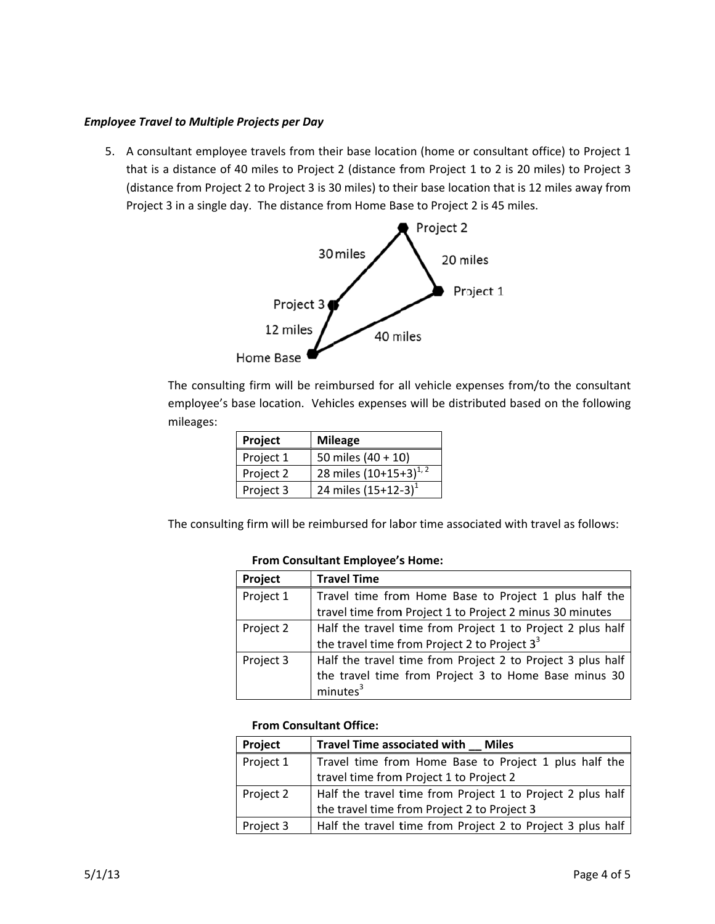## **Employee Travel to Multiple Projects per Day**

5. A consultant employee travels from their base location (home or consultant office) to Project 1 that is a distance of 40 miles to Project 2 (distance from Project 1 to 2 is 20 miles) to Project 3 (distance from Project 2 to Project 3 is 30 miles) to their base location that is 12 miles away from Project 3 in a single day. The distance from Home Base to Project 2 is 45 miles.



The consulting firm will be reimbursed for all vehicle expenses from/to the consultant employee's base location. Vehicles expenses will be distributed based on the following mileages:

| Project   | <b>Mileage</b>             |
|-----------|----------------------------|
| Project 1 | 50 miles $(40 + 10)$       |
| Project 2 | 28 miles $(10+15+3)^{1/2}$ |
| Project 3 | 24 miles $(15+12-3)^1$     |

The consulting firm will be reimbursed for labor time associated with travel as follows:

#### **From Consultant Employee's Home:**

| Project   | <b>Travel Time</b>                                         |
|-----------|------------------------------------------------------------|
| Project 1 | Travel time from Home Base to Project 1 plus half the      |
|           | travel time from Project 1 to Project 2 minus 30 minutes   |
| Project 2 | Half the travel time from Project 1 to Project 2 plus half |
|           | the travel time from Project 2 to Project $3^3$            |
| Project 3 | Half the travel time from Project 2 to Project 3 plus half |
|           | the travel time from Project 3 to Home Base minus 30       |
|           | minutes <sup>3</sup>                                       |

## **From Consultant Office:**

| Project   | Travel Time associated with __ Miles                       |
|-----------|------------------------------------------------------------|
| Project 1 | Travel time from Home Base to Project 1 plus half the      |
|           | travel time from Project 1 to Project 2                    |
| Project 2 | Half the travel time from Project 1 to Project 2 plus half |
|           | the travel time from Project 2 to Project 3                |
| Project 3 | Half the travel time from Project 2 to Project 3 plus half |